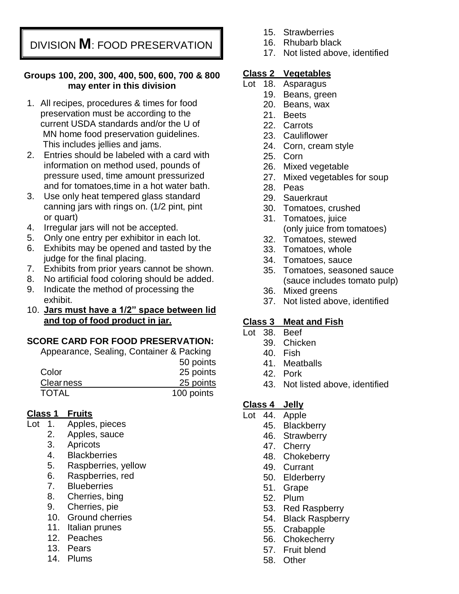DIVISION **M**: FOOD PRESERVATION

#### **Groups 100, 200, 300, 400, 500, 600, 700 & 800 may enter in this division**

- 1. All recipes, procedures & times for food preservation must be according to the current USDA standards and/or the U of MN home food preservation guidelines. This includes jellies and jams.
- 2. Entries should be labeled with a card with information on method used, pounds of pressure used, time amount pressurized and for tomatoes,time in a hot water bath.
- 3. Use only heat tempered glass standard canning jars with rings on. (1/2 pint, pint or quart)
- 4. Irregular jars will not be accepted.
- 5. Only one entry per exhibitor in each lot.
- 6. Exhibits may be opened and tasted by the judge for the final placing.
- 7. Exhibits from prior years cannot be shown.
- 8. No artificial food coloring should be added.
- 9. Indicate the method of processing the exhibit.
- 10. **Jars must have a 1/2" space between lid and top of food product in jar.**

### **SCORE CARD FOR FOOD PRESERVATION:**

Appearance, Sealing, Container & Packing 50 points

| 25 points  |
|------------|
| 25 points  |
| 100 points |
|            |

## **Class 1 Fruits**

- Lot 1. Apples, pieces
	- 2. Apples, sauce
	- 3. Apricots
	- 4. Blackberries
	- 5. Raspberries, yellow
	- 6. Raspberries, red
	- 7. Blueberries
	- 8. Cherries, bing
	- 9. Cherries, pie
	- 10. Ground cherries
	- 11. Italian prunes
	- 12. Peaches
	- 13. Pears
	- 14. Plums
- 15. Strawberries
- 16. Rhubarb black
- 17. Not listed above, identified

### **Class 2 Vegetables**

- Lot 18. Asparagus
	- 19. Beans, green
	- 20. Beans, wax
	- 21. Beets
	- 22. Carrots
	- 23. Cauliflower
	- 24. Corn, cream style
	- 25. Corn
	- 26. Mixed vegetable
	- 27. Mixed vegetables for soup
	- 28. Peas
	- 29. Sauerkraut
	- 30. Tomatoes, crushed
	- 31. Tomatoes, juice (only juice from tomatoes)
	- 32. Tomatoes, stewed
	- 33. Tomatoes, whole
	- 34. Tomatoes, sauce
	- 35. Tomatoes, seasoned sauce (sauce includes tomato pulp)
	- 36. Mixed greens
	- 37. Not listed above, identified

## **Class 3 Meat and Fish**

- Lot 38. Beef
	- 39. Chicken
	- 40. Fish
	- 41. Meatballs
	- 42. Pork
	- 43. Not listed above, identified

### **Class 4 Jelly**

- Lot 44. Apple
	- 45. Blackberry
	- 46. Strawberry
	- 47. Cherry
	- 48. Chokeberry
	- 49. Currant
	- 50. Elderberry
	- 51. Grape
	- 52. Plum
	- 53. Red Raspberry
	- 54. Black Raspberry
	- 55. Crabapple
	- 56. Chokecherry
	- 57. Fruit blend
	- 58. Other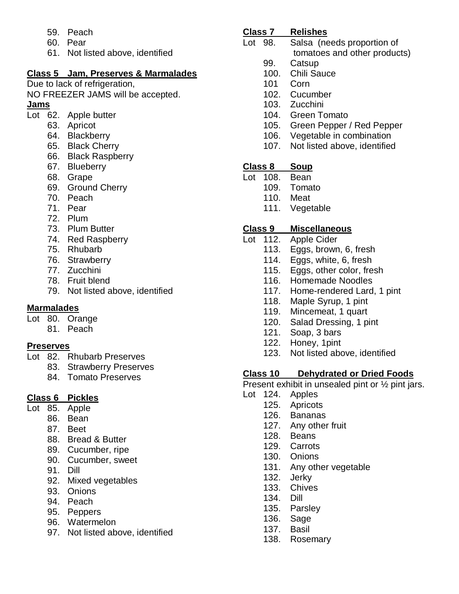- 59. Peach
- 60. Pear
- 61. Not listed above, identified

# **Class 5 Jam, Preserves & Marmalades**

Due to lack of refrigeration,

NO FREEZER JAMS will be accepted.

### **Jams**

- Lot 62. Apple butter
	- 63. Apricot
	- 64. Blackberry
	- 65. Black Cherry
	- 66. Black Raspberry
	- 67. Blueberry
	- 68. Grape
	- 69. Ground Cherry
	- 70. Peach
	- 71. Pear
	- 72. Plum
	- 73. Plum Butter
	- 74. Red Raspberry
	- 75. Rhubarb
	- 76. Strawberry
	- 77. Zucchini
	- 78. Fruit blend
	- 79. Not listed above, identified

## **Marmalades**

- Lot 80. Orange
	- 81. Peach

## **Preserves**

- Lot 82. Rhubarb Preserves
	- 83. Strawberry Preserves
		- 84. Tomato Preserves

# **Class 6 Pickles**

- Lot 85. Apple
	- 86. Bean
	- 87. Beet
	- 88. Bread & Butter
	- 89. Cucumber, ripe
	- 90. Cucumber, sweet
	- 91. Dill
	- 92. Mixed vegetables
	- 93. Onions
	- 94. Peach
	- 95. Peppers
	- 96. Watermelon
	- 97. Not listed above, identified

## **Class 7 Relishes**

- Lot 98. Salsa (needs proportion of
	- tomatoes and other products)
	- 99. Catsup
	- 100. Chili Sauce
	- 101 Corn
	- 102. Cucumber
	- 103. Zucchini
	- 104. Green Tomato
	- 105. Green Pepper / Red Pepper
	- 106. Vegetable in combination
	- 107. Not listed above, identified

## **Class 8 Soup**

- Lot 108. Bean
	- 109. Tomato
	- 110. Meat
	- 111. Vegetable

# **Class 9 Miscellaneous**

- Lot 112. Apple Cider
	- 113. Eggs, brown, 6, fresh
	- 114. Eggs, white, 6, fresh
	- 115. Eggs, other color, fresh
	- 116. Homemade Noodles
	- 117. Home-rendered Lard, 1 pint
	- 118. Maple Syrup, 1 pint
	- 119. Mincemeat, 1 quart
	- 120. Salad Dressing, 1 pint
	- 121. Soap, 3 bars
	- 122. Honey, 1pint
	- 123. Not listed above, identified

# **Class 10 Dehydrated or Dried Foods**

Present exhibit in unsealed pint or ½ pint jars.

- Lot 124. Apples
	- 125. Apricots
	- 126. Bananas
	- 127. Any other fruit
	- 128. Beans
	- 129. Carrots
	- 130. Onions
	- 131. Any other vegetable
	- 132. Jerky
	- 133. Chives
	- 134. Dill
	- 135. Parsley
	- 136. Sage
	- 137. Basil
	- 138. Rosemary